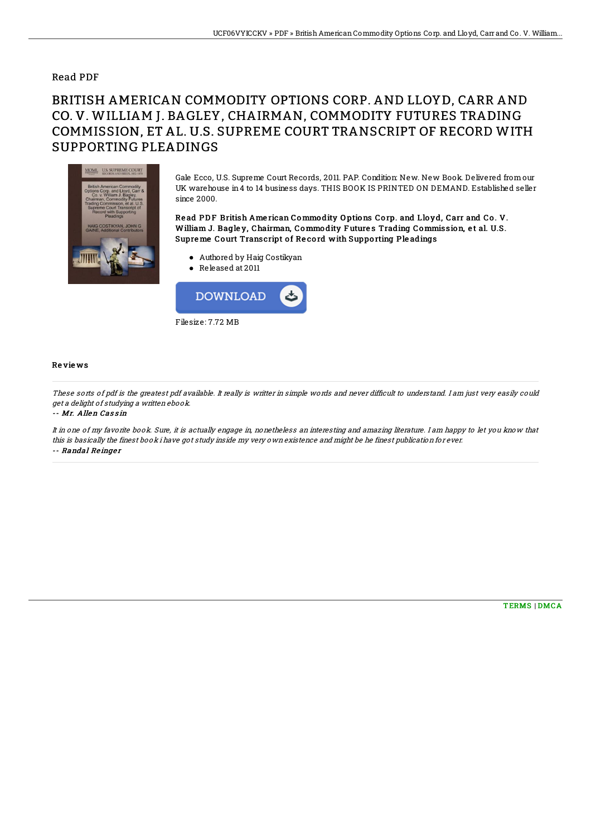## Read PDF

## BRITISH AMERICAN COMMODITY OPTIONS CORP. AND LLOYD, CARR AND CO. V. WILLIAM J. BAGLEY, CHAIRMAN, COMMODITY FUTURES TRADING COMMISSION, ET AL. U.S. SUPREME COURT TRANSCRIPT OF RECORD WITH SUPPORTING PLEADINGS



Gale Ecco, U.S. Supreme Court Records, 2011. PAP. Condition: New. New Book. Delivered from our UK warehouse in4 to 14 business days. THIS BOOK IS PRINTED ON DEMAND. Established seller since 2000.

Read PDF British American Commodity Options Corp. and Lloyd, Carr and Co. V. William J. Bagley, Chairman, Commodity Futures Trading Commission, et al. U.S. Supreme Court Transcript of Record with Supporting Pleadings

- Authored by Haig Costikyan
- Released at 2011



## Re vie ws

These sorts of pdf is the greatest pdf available. It really is writter in simple words and never difficult to understand. I am just very easily could get <sup>a</sup> delight of studying <sup>a</sup> written ebook.

-- Mr. Allen Cassin

It in one of my favorite book. Sure, it is actually engage in, nonetheless an interesting and amazing literature. I am happy to let you know that this is basically the finest book i have got study inside my very own existence and might be he finest publication for ever. -- Randal Re inge <sup>r</sup>